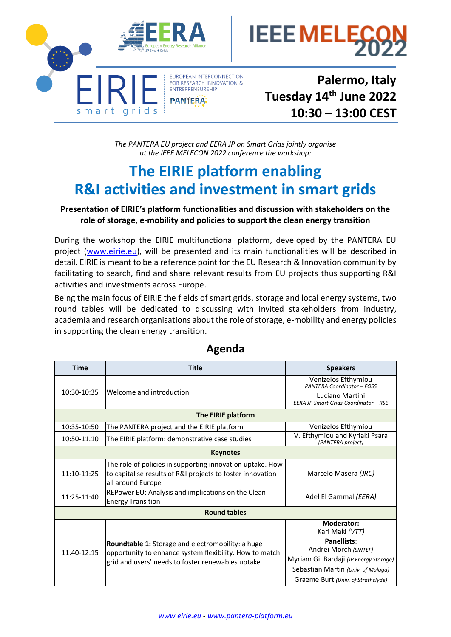

IEEE MEL

**Palermo, Italy Tuesday 14th June 2022 10:30 – 13:00 CEST**

**.**

*The PANTERA EU project and EERA JP on Smart Grids jointly organise at the IEEE MELECON 2022 conference the workshop:*

## **The EIRIE platform enabling R&I activities and investment in smart grids**

## **Presentation of EIRIE's platform functionalities and discussion with stakeholders on the role of storage, e-mobility and policies to support the clean energy transition**

During the workshop the EIRIE multifunctional platform, developed by the PANTERA EU project [\(www.eirie.eu\)](http://www.eirie.eu/), will be presented and its main functionalities will be described in detail. EIRIE is meant to be a reference point for the EU Research & Innovation community by facilitating to search, find and share relevant results from EU projects thus supporting R&I activities and investments across Europe.

Being the main focus of EIRIE the fields of smart grids, storage and local energy systems, two round tables will be dedicated to discussing with invited stakeholders from industry, academia and research organisations about the role of storage, e-mobility and energy policies in supporting the clean energy transition.

| <b>Time</b>         | <b>Title</b>                                                                                                                                                      | <b>Speakers</b>                                                                                                                                                                                    |  |
|---------------------|-------------------------------------------------------------------------------------------------------------------------------------------------------------------|----------------------------------------------------------------------------------------------------------------------------------------------------------------------------------------------------|--|
| 10:30-10:35         | Welcome and introduction                                                                                                                                          | Venizelos Efthymiou<br><b>PANTERA Coordinator - FOSS</b><br>Luciano Martini<br>EERA JP Smart Grids Coordinator - RSE                                                                               |  |
| The EIRIE platform  |                                                                                                                                                                   |                                                                                                                                                                                                    |  |
| 10:35-10:50         | The PANTERA project and the EIRIE platform                                                                                                                        | Venizelos Efthymiou                                                                                                                                                                                |  |
| 10:50-11.10         | The EIRIE platform: demonstrative case studies                                                                                                                    | V. Efthymiou and Kyriaki Psara<br>(PANTERA project)                                                                                                                                                |  |
| <b>Keynotes</b>     |                                                                                                                                                                   |                                                                                                                                                                                                    |  |
| 11:10-11:25         | The role of policies in supporting innovation uptake. How<br>to capitalise results of R&I projects to foster innovation<br>all around Europe                      | Marcelo Masera (JRC)                                                                                                                                                                               |  |
| 11:25-11:40         | REPower EU: Analysis and implications on the Clean<br><b>Energy Transition</b>                                                                                    | Adel El Gammal (EERA)                                                                                                                                                                              |  |
| <b>Round tables</b> |                                                                                                                                                                   |                                                                                                                                                                                                    |  |
| $11:40-12:15$       | Roundtable 1: Storage and electromobility: a huge<br>opportunity to enhance system flexibility. How to match<br>grid and users' needs to foster renewables uptake | <b>Moderator:</b><br>Kari Maki (VTT)<br>Panellists:<br>Andrei Morch (SINTEF)<br>Myriam Gil Bardaji (JP Energy Storage)<br>Sebastian Martin (Univ. of Malaga)<br>Graeme Burt (Univ. of Strathclyde) |  |

## **Agenda**